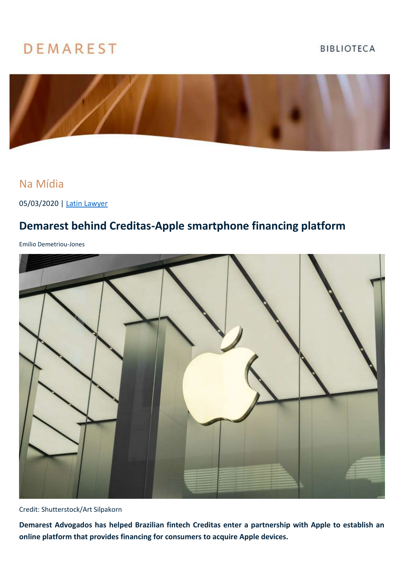## **DEMAREST**

## **BIBLIOTECA**



## Na Mídia

05/03/2020 | [Latin Lawyer](https://latinlawyer.com/article/1215909/demarest-behind-creditas-apple-smartphone-financing-platform?utm_source=03%2f05%2f20-11%3a56%3a50-927+-+Latham+hires+projects+counsel+from+DLA+Piper&utm_medium=email&utm_campaign=03%2f05%2f20-11%3a56%3a50-927+-+Latham+hires+projects+counsel+from+DLA+Piper&utm_term=Latham+hires+projects+counsel+from+DLA+Piper&utm_content=38159&gator_td=XAelYkBij73rVBN1mjNkVNXw%2b24mnGnbMaryywpxUa%2bAqls2scW%2fJj1MNZQ6Txvm5zpeAGW%2bV4QkQuh8JDhZkqgbJnOwlGdSTME1vMdE2M9Jk4PSNX4YhCYvVh6p4nRbQVzhxwBr1ZaWDrdQUNU6Nz6P3TBAZpI%2bqSyuJsBKAUCDIuvdaq7x8ejhrlevoMK%2b3%2fZCUSLpG%2b3DMBBaBW%2fSzdjvXnhv4E0lDZNDZ63Atj8HTO8KAOHlaCPmlvpiarct)

## **Demarest behind Creditas-Apple smartphone financing platform**

Emilio Demetriou-Jones



Credit: Shutterstock/Art Silpakorn

**Demarest Advogados has helped Brazilian fintech Creditas enter a partnership with Apple to establish an online platform that provides financing for consumers to acquire Apple devices.**